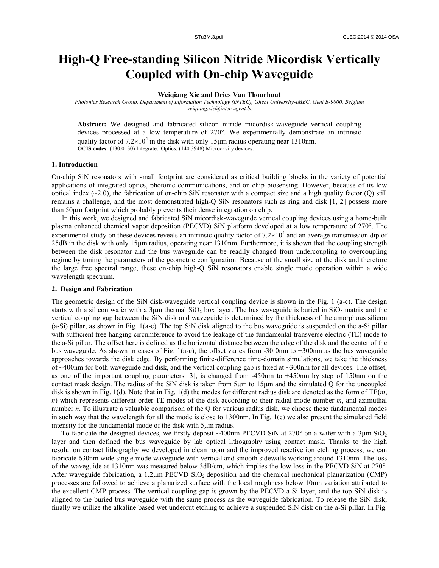# **High-Q Free-standing Silicon Nitride Micordisk Vertically Coupled with On-chip Waveguide**

# **Weiqiang Xie and Dries Van Thourhout**

*Photonics Research Group, Department of Information Technology (INTEC), Ghent University-IMEC, Gent B-9000, Belgium weiqiang.xie@intec.ugent.be*

**Abstract:** We designed and fabricated silicon nitride micordisk-waveguide vertical coupling devices processed at a low temperature of 270°. We experimentally demonstrate an intrinsic quality factor of  $7.2\times10^4$  in the disk with only 15<sub>µ</sub>m radius operating near 1310nm. **OCIS codes:** (130.0130) Integrated Optics; (140.3948) Microcavity devices.

# **1. Introduction**

On-chip SiN resonators with small footprint are considered as critical building blocks in the variety of potential applications of integrated optics, photonic communications, and on-chip biosensing. However, because of its low optical index  $(\sim 2.0)$ , the fabrication of on-chip SiN resonator with a compact size and a high quality factor (Q) still remains a challenge, and the most demonstrated high-Q SiN resonators such as ring and disk [1, 2] possess more than 50μm footprint which probably prevents their dense integration on chip.

In this work, we designed and fabricated SiN micordisk-waveguide vertical coupling devices using a home-built plasma enhanced chemical vapor deposition (PECVD) SiN platform developed at a low temperature of 270°. The experimental study on these devices reveals an intrinsic quality factor of  $7.2 \times 10^4$  and an average transmission dip of 25dB in the disk with only 15μm radius, operating near 1310nm. Furthermore, it is shown that the coupling strength between the disk resonator and the bus waveguide can be readily changed from undercoupling to overcoupling regime by tuning the parameters of the geometric configuration. Because of the small size of the disk and therefore the large free spectral range, these on-chip high-Q SiN resonators enable single mode operation within a wide wavelength spectrum.

## **2. Design and Fabrication**

The geometric design of the SiN disk-waveguide vertical coupling device is shown in the Fig. 1 (a-c). The design starts with a silicon wafer with a 3 $\mu$ m thermal SiO<sub>2</sub> box layer. The bus waveguide is buried in SiO<sub>2</sub> matrix and the vertical coupling gap between the SiN disk and waveguide is determined by the thickness of the amorphous silicon (a-Si) pillar, as shown in Fig. 1(a-c). The top SiN disk aligned to the bus waveguide is suspended on the a-Si pillar with sufficient free hanging circumference to avoid the leakage of the fundamental transverse electric (TE) mode to the a-Si pillar. The offset here is defined as the horizontal distance between the edge of the disk and the center of the bus waveguide. As shown in cases of Fig. 1(a-c), the offset varies from -30 0nm to +300nm as the bus waveguide approaches towards the disk edge. By performing finite-difference time-domain simulations, we take the thickness of  $\sim$ 400nm for both waveguide and disk, and the vertical coupling gap is fixed at  $\sim$ 300nm for all devices. The offset, as one of the important coupling parameters [3], is changed from -450nm to +450nm by step of 150nm on the contact mask design. The radius of the SiN disk is taken from 5μm to 15μm and the simulated Q for the uncoupled disk is shown in Fig. 1(d). Note that in Fig. 1(d) the modes for different radius disk are denoted as the form of TE(*m*, *n*) which represents different order TE modes of the disk according to their radial mode number *m*, and azimuthal number *n*. To illustrate a valuable comparison of the Q for various radius disk, we choose these fundamental modes in such way that the wavelength for all the mode is close to 1300nm. In Fig. 1(e) we also present the simulated field intensity for the fundamental mode of the disk with 5μm radius.

To fabricate the designed devices, we firstly deposit ~400nm PECVD SiN at 270 $\degree$  on a wafer with a 3µm SiO<sub>2</sub> layer and then defined the bus waveguide by lab optical lithography using contact mask. Thanks to the high resolution contact lithography we developed in clean room and the improved reactive ion etching process, we can fabricate 630nm wide single mode waveguide with vertical and smooth sidewalls working around 1310nm. The loss of the waveguide at 1310nm was measured below 3dB/cm, which implies the low loss in the PECVD SiN at 270°. After waveguide fabrication, a 1.2 $\mu$ m PECVD SiO<sub>2</sub> deposition and the chemical mechanical planarization (CMP) processes are followed to achieve a planarized surface with the local roughness below 10nm variation attributed to the excellent CMP process. The vertical coupling gap is grown by the PECVD a-Si layer, and the top SiN disk is aligned to the buried bus waveguide with the same process as the waveguide fabrication. To release the SiN disk, finally we utilize the alkaline based wet undercut etching to achieve a suspended SiN disk on the a-Si pillar. In Fig.